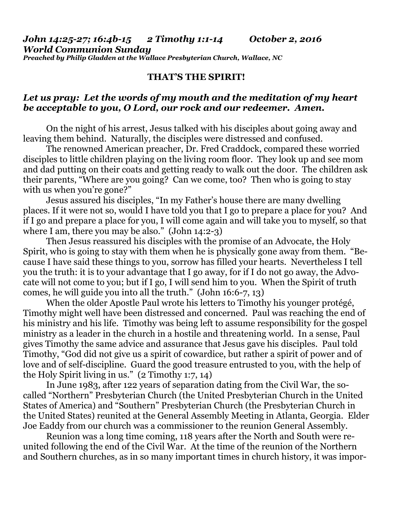## **THAT'S THE SPIRIT!**

## *Let us pray: Let the words of my mouth and the meditation of my heart be acceptable to you, O Lord, our rock and our redeemer. Amen.*

On the night of his arrest, Jesus talked with his disciples about going away and leaving them behind. Naturally, the disciples were distressed and confused.

 The renowned American preacher, Dr. Fred Craddock, compared these worried disciples to little children playing on the living room floor. They look up and see mom and dad putting on their coats and getting ready to walk out the door. The children ask their parents, "Where are you going? Can we come, too? Then who is going to stay with us when you're gone?"

 Jesus assured his disciples, "In my Father's house there are many dwelling places. If it were not so, would I have told you that I go to prepare a place for you? And if I go and prepare a place for you, I will come again and will take you to myself, so that where I am, there you may be also." (John 14:2-3)

 Then Jesus reassured his disciples with the promise of an Advocate, the Holy Spirit, who is going to stay with them when he is physically gone away from them. "Because I have said these things to you, sorrow has filled your hearts. Nevertheless I tell you the truth: it is to your advantage that I go away, for if I do not go away, the Advocate will not come to you; but if I go, I will send him to you. When the Spirit of truth comes, he will guide you into all the truth." (John 16:6-7, 13)

 When the older Apostle Paul wrote his letters to Timothy his younger protégé, Timothy might well have been distressed and concerned. Paul was reaching the end of his ministry and his life. Timothy was being left to assume responsibility for the gospel ministry as a leader in the church in a hostile and threatening world. In a sense, Paul gives Timothy the same advice and assurance that Jesus gave his disciples. Paul told Timothy, "God did not give us a spirit of cowardice, but rather a spirit of power and of love and of self-discipline. Guard the good treasure entrusted to you, with the help of the Holy Spirit living in us." (2 Timothy 1:7, 14)

 In June 1983, after 122 years of separation dating from the Civil War, the socalled "Northern" Presbyterian Church (the United Presbyterian Church in the United States of America) and "Southern" Presbyterian Church (the Presbyterian Church in the United States) reunited at the General Assembly Meeting in Atlanta, Georgia. Elder Joe Eaddy from our church was a commissioner to the reunion General Assembly.

 Reunion was a long time coming, 118 years after the North and South were reunited following the end of the Civil War. At the time of the reunion of the Northern and Southern churches, as in so many important times in church history, it was impor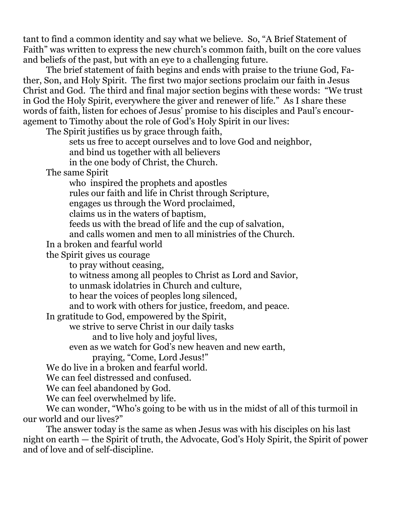tant to find a common identity and say what we believe. So, "A Brief Statement of Faith" was written to express the new church's common faith, built on the core values and beliefs of the past, but with an eye to a challenging future.

 The brief statement of faith begins and ends with praise to the triune God, Father, Son, and Holy Spirit. The first two major sections proclaim our faith in Jesus Christ and God. The third and final major section begins with these words: "We trust in God the Holy Spirit, everywhere the giver and renewer of life." As I share these words of faith, listen for echoes of Jesus' promise to his disciples and Paul's encouragement to Timothy about the role of God's Holy Spirit in our lives:

The Spirit justifies us by grace through faith,

sets us free to accept ourselves and to love God and neighbor,

and bind us together with all believers

in the one body of Christ, the Church.

The same Spirit

who inspired the prophets and apostles

rules our faith and life in Christ through Scripture,

engages us through the Word proclaimed,

claims us in the waters of baptism,

feeds us with the bread of life and the cup of salvation,

and calls women and men to all ministries of the Church.

In a broken and fearful world

the Spirit gives us courage

to pray without ceasing,

to witness among all peoples to Christ as Lord and Savior,

to unmask idolatries in Church and culture,

to hear the voices of peoples long silenced,

and to work with others for justice, freedom, and peace.

In gratitude to God, empowered by the Spirit,

we strive to serve Christ in our daily tasks

and to live holy and joyful lives,

even as we watch for God's new heaven and new earth,

praying, "Come, Lord Jesus!"

We do live in a broken and fearful world.

We can feel distressed and confused.

We can feel abandoned by God.

We can feel overwhelmed by life.

 We can wonder, "Who's going to be with us in the midst of all of this turmoil in our world and our lives?"

 The answer today is the same as when Jesus was with his disciples on his last night on earth — the Spirit of truth, the Advocate, God's Holy Spirit, the Spirit of power and of love and of self-discipline.